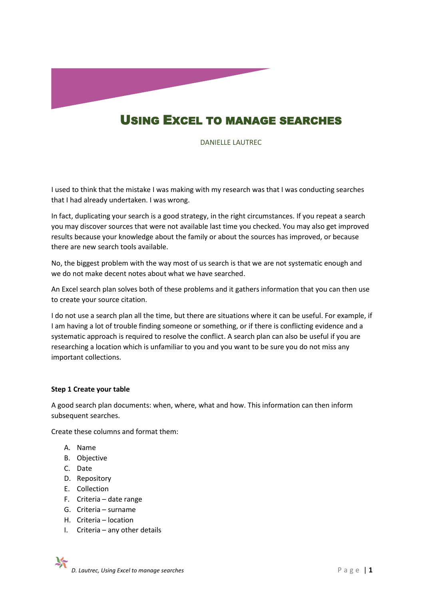

# USING EXCEL TO MANAGE SEARCHES

DANIELLE LAUTREC

I used to think that the mistake I was making with my research was that I was conducting searches that I had already undertaken. I was wrong.

In fact, duplicating your search is a good strategy, in the right circumstances. If you repeat a search you may discover sources that were not available last time you checked. You may also get improved results because your knowledge about the family or about the sources has improved, or because there are new search tools available.

No, the biggest problem with the way most of us search is that we are not systematic enough and we do not make decent notes about what we have searched.

An Excel search plan solves both of these problems and it gathers information that you can then use to create your source citation.

I do not use a search plan all the time, but there are situations where it can be useful. For example, if I am having a lot of trouble finding someone or something, or if there is conflicting evidence and a systematic approach is required to resolve the conflict. A search plan can also be useful if you are researching a location which is unfamiliar to you and you want to be sure you do not miss any important collections.

### **Step 1 Create your table**

A good search plan documents: when, where, what and how. This information can then inform subsequent searches.

Create these columns and format them:

- A. Name
- B. Objective
- C. Date
- D. Repository
- E. Collection
- F. Criteria date range
- G. Criteria surname
- H. Criteria location
- I. Criteria any other details

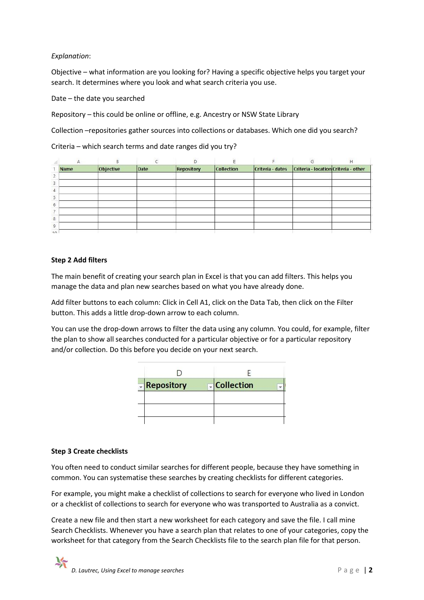## *Explanation*:

Objective – what information are you looking for? Having a specific objective helps you target your search. It determines where you look and what search criteria you use.

Date – the date you searched

Repository – this could be online or offline, e.g. Ancestry or NSW State Library

Collection –repositories gather sources into collections or databases. Which one did you search?

Criteria – which search terms and date ranges did you try?

| А            |           |      |                   |                   |                  |                                      | н |
|--------------|-----------|------|-------------------|-------------------|------------------|--------------------------------------|---|
| <b>Name</b>  | Objective | Date | <b>Repository</b> | <b>Collection</b> | Criteria - dates | Criteria - location Criteria - other |   |
|              |           |      |                   |                   |                  |                                      |   |
|              |           |      |                   |                   |                  |                                      |   |
|              |           |      |                   |                   |                  |                                      |   |
|              |           |      |                   |                   |                  |                                      |   |
|              |           |      |                   |                   |                  |                                      |   |
|              |           |      |                   |                   |                  |                                      |   |
|              |           |      |                   |                   |                  |                                      |   |
| $10^{\circ}$ |           |      |                   |                   |                  |                                      |   |

## **Step 2 Add filters**

The main benefit of creating your search plan in Excel is that you can add filters. This helps you manage the data and plan new searches based on what you have already done.

Add filter buttons to each column: Click in Cell A1, click on the Data Tab, then click on the Filter button. This adds a little drop-down arrow to each column.

You can use the drop-down arrows to filter the data using any column. You could, for example, filter the plan to show all searches conducted for a particular objective or for a particular repository and/or collection. Do this before you decide on your next search.

| <b>Repository</b> | <b>Collection</b> |
|-------------------|-------------------|
|                   |                   |
|                   |                   |
|                   |                   |

### **Step 3 Create checklists**

You often need to conduct similar searches for different people, because they have something in common. You can systematise these searches by creating checklists for different categories.

For example, you might make a checklist of collections to search for everyone who lived in London or a checklist of collections to search for everyone who was transported to Australia as a convict.

Create a new file and then start a new worksheet for each category and save the file. I call mine Search Checklists. Whenever you have a search plan that relates to one of your categories, copy the worksheet for that category from the Search Checklists file to the search plan file for that person.